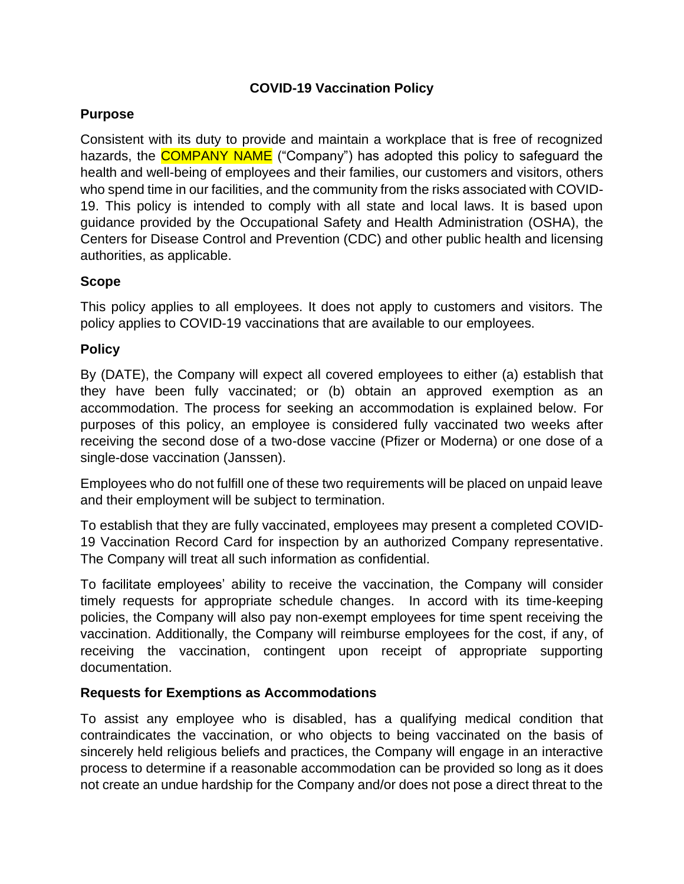# **COVID-19 Vaccination Policy**

### **Purpose**

Consistent with its duty to provide and maintain a workplace that is free of recognized hazards, the **COMPANY NAME** ("Company") has adopted this policy to safeguard the health and well-being of employees and their families, our customers and visitors, others who spend time in our facilities, and the community from the risks associated with COVID-19. This policy is intended to comply with all state and local laws. It is based upon guidance provided by the Occupational Safety and Health Administration (OSHA), the Centers for Disease Control and Prevention (CDC) and other public health and licensing authorities, as applicable.

### **Scope**

This policy applies to all employees. It does not apply to customers and visitors. The policy applies to COVID-19 vaccinations that are available to our employees.

# **Policy**

By (DATE), the Company will expect all covered employees to either (a) establish that they have been fully vaccinated; or (b) obtain an approved exemption as an accommodation. The process for seeking an accommodation is explained below. For purposes of this policy, an employee is considered fully vaccinated two weeks after receiving the second dose of a two-dose vaccine (Pfizer or Moderna) or one dose of a single-dose vaccination (Janssen).

Employees who do not fulfill one of these two requirements will be placed on unpaid leave and their employment will be subject to termination.

To establish that they are fully vaccinated, employees may present a completed COVID-19 Vaccination Record Card for inspection by an authorized Company representative. The Company will treat all such information as confidential.

To facilitate employees' ability to receive the vaccination, the Company will consider timely requests for appropriate schedule changes. In accord with its time-keeping policies, the Company will also pay non-exempt employees for time spent receiving the vaccination. Additionally, the Company will reimburse employees for the cost, if any, of receiving the vaccination, contingent upon receipt of appropriate supporting documentation.

# **Requests for Exemptions as Accommodations**

To assist any employee who is disabled, has a qualifying medical condition that contraindicates the vaccination, or who objects to being vaccinated on the basis of sincerely held religious beliefs and practices, the Company will engage in an interactive process to determine if a reasonable accommodation can be provided so long as it does not create an undue hardship for the Company and/or does not pose a direct threat to the